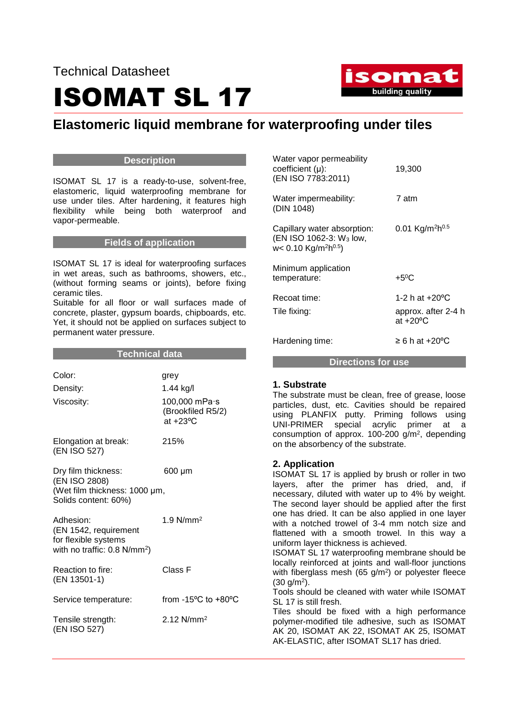# ISOMAT SL 17



## **Elastomeric liquid membrane for waterproofing under tiles**

#### **Description**

ISOMAT SL 17 is a ready-to-use, solvent-free, elastomeric, liquid waterproofing membrane for use under tiles. After hardening, it features high flexibility while being both waterproof and vapor-permeable.

#### **Fields of application**

ISOMAT SL 17 is ideal for waterproofing surfaces in wet areas, such as bathrooms, showers, etc., (without forming seams or joints), before fixing ceramic tiles.

Suitable for all floor or wall surfaces made of concrete, plaster, gypsum boards, chipboards, etc. Yet, it should not be applied on surfaces subject to permanent water pressure.

| Technical data                                                                                        |                                                                               |  |
|-------------------------------------------------------------------------------------------------------|-------------------------------------------------------------------------------|--|
| Color:<br>Density:<br>Viscosity:                                                                      | grey<br>1.44 kg/l<br>100,000 mPa·s<br>(Brookfiled R5/2)<br>at $+23^{\circ}$ C |  |
| Elongation at break:<br>(EN ISO 527)                                                                  | 215%                                                                          |  |
| Dry film thickness:<br>(EN ISO 2808)<br>(Wet film thickness: 1000 µm,<br>Solids content: 60%)         | 600 µm                                                                        |  |
| Adhesion:<br>(EN 1542, requirement<br>for flexible systems<br>with no traffic: $0.8 \text{ N/mm}^2$ ) | 1.9 $N/mm2$                                                                   |  |
| Reaction to fire:<br>(EN 13501-1)                                                                     | Class F                                                                       |  |
| Service temperature:                                                                                  | from $-15^{\circ}$ C to $+80^{\circ}$ C                                       |  |
| Tensile strength:<br>(EN ISO 527)                                                                     | $2.12$ N/mm <sup>2</sup>                                                      |  |

| Directions for use                                                                                                 |                                                              |  |
|--------------------------------------------------------------------------------------------------------------------|--------------------------------------------------------------|--|
| Hardening time:                                                                                                    | $\geq 6$ h at +20 $\rm ^{o}C$                                |  |
| Recoat time:<br>Tile fixing:                                                                                       | 1-2 h at +20 °C<br>approx. after 2-4 h<br>at $+20^{\circ}$ C |  |
| Minimum application<br>temperature:                                                                                | $+5^{\circ}$ C                                               |  |
| Capillary water absorption:<br>(EN ISO 1062-3: W <sub>3</sub> low,<br>w< 0.10 Kg/m <sup>2</sup> h <sup>0.5</sup> ) | 0.01 Kg/m <sup>2</sup> h <sup>0.5</sup>                      |  |
| Water impermeability:<br>(DIN 1048)                                                                                | 7 atm                                                        |  |
| Water vapor permeability<br>coefficient (µ):<br>(EN ISO 7783:2011)                                                 | 19,300                                                       |  |

#### **1. Substrate**

The substrate must be clean, free of grease, loose particles, dust, etc. Cavities should be repaired using PLANFIX putty. Priming follows using UNI-PRIMER special acrylic primer at a consumption of approx. 100-200 g/m<sup>2</sup> , depending on the absorbency of the substrate.

#### **2. Application**

ISOMAT SL 17 is applied by brush or roller in two layers, after the primer has dried, and, if necessary, diluted with water up to 4% by weight. The second layer should be applied after the first one has dried. It can be also applied in one layer with a notched trowel of 3-4 mm notch size and flattened with a smooth trowel. In this way a uniform layer thickness is achieved.

ISOMAT SL 17 waterproofing membrane should be locally reinforced at joints and wall-floor junctions with fiberglass mesh (65  $g/m<sup>2</sup>$ ) or polyester fleece (30 g/m<sup>2</sup> ).

Tools should be cleaned with water while ISOMAT SL 17 is still fresh.

Tiles should be fixed with a high performance polymer-modified tile adhesive, such as ISOMAT AK 20, ISOMAT AK 22, ISOMAT AK 25, ISOMAT AK-ELASTIC, after ISOMAT SL17 has dried.